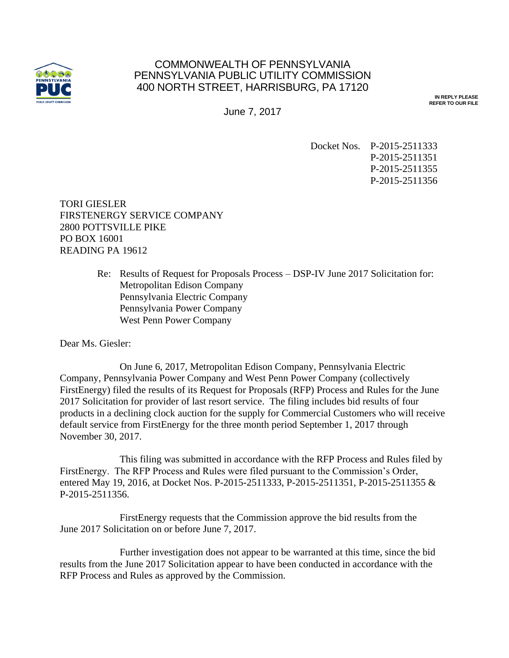

## COMMONWEALTH OF PENNSYLVANIA PENNSYLVANIA PUBLIC UTILITY COMMISSION 400 NORTH STREET, HARRISBURG, PA 17120

**IN REPLY PLEASE REFER TO OUR FILE**

June 7, 2017

Docket Nos. P-2015-2511333 P-2015-2511351 P-2015-2511355 P-2015-2511356

TORI GIESLER FIRSTENERGY SERVICE COMPANY 2800 POTTSVILLE PIKE PO BOX 16001 READING PA 19612

> Re: Results of Request for Proposals Process – DSP-IV June 2017 Solicitation for: Metropolitan Edison Company Pennsylvania Electric Company Pennsylvania Power Company West Penn Power Company

Dear Ms. Giesler:

On June 6, 2017, Metropolitan Edison Company, Pennsylvania Electric Company, Pennsylvania Power Company and West Penn Power Company (collectively FirstEnergy) filed the results of its Request for Proposals (RFP) Process and Rules for the June 2017 Solicitation for provider of last resort service. The filing includes bid results of four products in a declining clock auction for the supply for Commercial Customers who will receive default service from FirstEnergy for the three month period September 1, 2017 through November 30, 2017.

This filing was submitted in accordance with the RFP Process and Rules filed by FirstEnergy. The RFP Process and Rules were filed pursuant to the Commission's Order, entered May 19, 2016, at Docket Nos. P-2015-2511333, P-2015-2511351, P-2015-2511355 & P-2015-2511356.

FirstEnergy requests that the Commission approve the bid results from the June 2017 Solicitation on or before June 7, 2017.

Further investigation does not appear to be warranted at this time, since the bid results from the June 2017 Solicitation appear to have been conducted in accordance with the RFP Process and Rules as approved by the Commission.